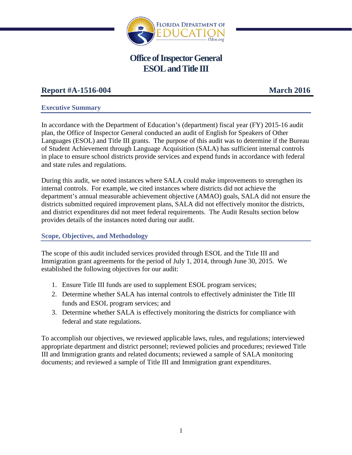

# **Office of Inspector General ESOL** and Title **III**

# **Report #A-1516-004 March 2016**

# **Executive Summary**

In accordance with the Department of Education's (department) fiscal year (FY) 2015-16 audit plan, the Office of Inspector General conducted an audit of English for Speakers of Other Languages (ESOL) and Title III grants. The purpose of this audit was to determine if the Bureau of Student Achievement through Language Acquisition (SALA) has sufficient internal controls in place to ensure school districts provide services and expend funds in accordance with federal and state rules and regulations.

During this audit, we noted instances where SALA could make improvements to strengthen its internal controls. For example, we cited instances where districts did not achieve the department's annual measurable achievement objective (AMAO) goals, SALA did not ensure the districts submitted required improvement plans, SALA did not effectively monitor the districts, and district expenditures did not meet federal requirements. The Audit Results section below provides details of the instances noted during our audit.

# **Scope, Objectives, and Methodology**

The scope of this audit included services provided through ESOL and the Title III and Immigration grant agreements for the period of July 1, 2014, through June 30, 2015. We established the following objectives for our audit:

- 1. Ensure Title III funds are used to supplement ESOL program services;
- 2. Determine whether SALA has internal controls to effectively administer the Title III funds and ESOL program services; and
- 3. Determine whether SALA is effectively monitoring the districts for compliance with federal and state regulations.

To accomplish our objectives, we reviewed applicable laws, rules, and regulations; interviewed appropriate department and district personnel; reviewed policies and procedures; reviewed Title III and Immigration grants and related documents; reviewed a sample of SALA monitoring documents; and reviewed a sample of Title III and Immigration grant expenditures.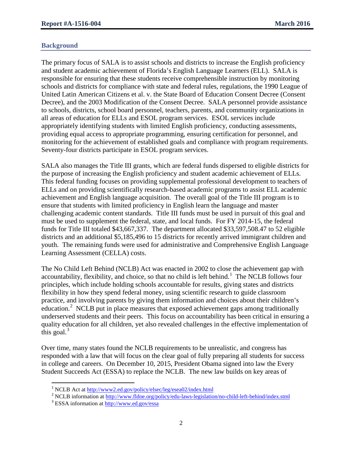#### **Background**

The primary focus of SALA is to assist schools and districts to increase the English proficiency and student academic achievement of Florida's English Language Learners (ELL). SALA is responsible for ensuring that these students receive comprehensible instruction by monitoring schools and districts for compliance with state and federal rules, regulations, the 1990 League of United Latin American Citizens et al. v. the State Board of Education Consent Decree (Consent Decree), and the 2003 Modification of the Consent Decree. SALA personnel provide assistance to schools, districts, school board personnel, teachers, parents, and community organizations in all areas of education for ELLs and ESOL program services. ESOL services include appropriately identifying students with limited English proficiency, conducting assessments, providing equal access to appropriate programming, ensuring certification for personnel, and monitoring for the achievement of established goals and compliance with program requirements. Seventy-four districts participate in ESOL program services.

SALA also manages the Title III grants, which are federal funds dispersed to eligible districts for the purpose of increasing the English proficiency and student academic achievement of ELLs. This federal funding focuses on providing supplemental professional development to teachers of ELLs and on providing scientifically research-based academic programs to assist ELL academic achievement and English language acquisition. The overall goal of the Title III program is to ensure that students with limited proficiency in English learn the language and master challenging academic content standards. Title III funds must be used in pursuit of this goal and must be used to supplement the federal, state, and local funds. For FY 2014-15, the federal funds for Title III totaled \$43,667,337. The department allocated \$33,597,508.47 to 52 eligible districts and an additional \$5,185,496 to 15 districts for recently arrived immigrant children and youth. The remaining funds were used for administrative and Comprehensive English Language Learning Assessment (CELLA) costs.

The No Child Left Behind (NCLB) Act was enacted in 2002 to close the achievement gap with accountability, flexibility, and choice, so that no child is left behind.<sup>[1](#page-1-0)</sup> The NCLB follows four principles, which include holding schools accountable for results, giving states and districts flexibility in how they spend federal money, using scientific research to guide classroom practice, and involving parents by giving them information and choices about their children's education.<sup>[2](#page-1-1)</sup> NCLB put in place measures that exposed achievement gaps among traditionally underserved students and their peers. This focus on accountability has been critical in ensuring a quality education for all children, yet also revealed challenges in the effective implementation of this goal. $3$ 

Over time, many states found the NCLB requirements to be unrealistic, and congress has responded with a law that will focus on the clear goal of fully preparing all students for success in college and careers. On December 10, 2015, President Obama signed into law the Every Student Succeeds Act (ESSA) to replace the NCLB. The new law builds on key areas of

- <span id="page-1-2"></span><span id="page-1-1"></span><sup>2</sup> NCLB information at <u><http://www.fldoe.org/policy/edu-laws-legislation/no-child-left-behind/index.stml></u>
- <sup>3</sup> ESSA information at <http://www.ed.gov/essa>

<span id="page-1-0"></span><sup>&</sup>lt;sup>1</sup> NCLB Act at <http://www2.ed.gov/policy/elsec/leg/esea02/index.html>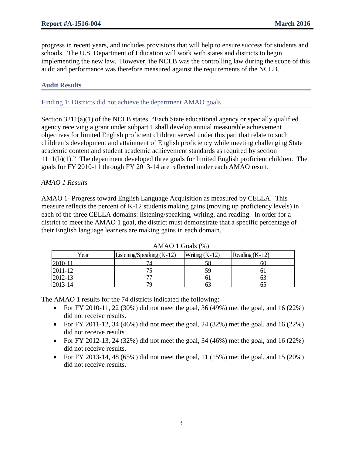progress in recent years, and includes provisions that will help to ensure success for students and schools. The U.S. Department of Education will work with states and districts to begin implementing the new law. However, the NCLB was the controlling law during the scope of this audit and performance was therefore measured against the requirements of the NCLB.

# **Audit Results**

#### Finding 1: Districts did not achieve the department AMAO goals

Section  $3211(a)(1)$  of the NCLB states, "Each State educational agency or specially qualified agency receiving a grant under subpart 1 shall develop annual measurable achievement objectives for limited English proficient children served under this part that relate to such children's development and attainment of English proficiency while meeting challenging State academic content and student academic achievement standards as required by section 1111(b)(1)." The department developed three goals for limited English proficient children. The goals for FY 2010-11 through FY 2013-14 are reflected under each AMAO result.

#### *AMAO 1 Results*

AMAO 1- Progress toward English Language Acquisition as measured by CELLA. This measure reflects the percent of K-12 students making gains (moving up proficiency levels) in each of the three CELLA domains: listening/speaking, writing, and reading. In order for a district to meet the AMAO 1 goal, the district must demonstrate that a specific percentage of their English language learners are making gains in each domain.

| Year               | Listening/Speaking (K-12) | Writing $(K-12)$ | Reading $(K-12)$ |  |  |  |
|--------------------|---------------------------|------------------|------------------|--|--|--|
| $2010 - 1$         |                           |                  |                  |  |  |  |
|                    |                           |                  |                  |  |  |  |
| 2011-12<br>2012-13 | −−                        |                  |                  |  |  |  |
| $2013 - 14$        |                           |                  |                  |  |  |  |

 $AMAO 1$  Goals  $(\%)$ 

The AMAO 1 results for the 74 districts indicated the following:

- For FY 2010-11, 22 (30%) did not meet the goal, 36 (49%) met the goal, and 16 (22%) did not receive results.
- For FY 2011-12, 34 (46%) did not meet the goal, 24 (32%) met the goal, and 16 (22%) did not receive results
- For FY 2012-13, 24 (32%) did not meet the goal, 34 (46%) met the goal, and 16 (22%) did not receive results.
- For FY 2013-14, 48 (65%) did not meet the goal, 11 (15%) met the goal, and 15 (20%) did not receive results.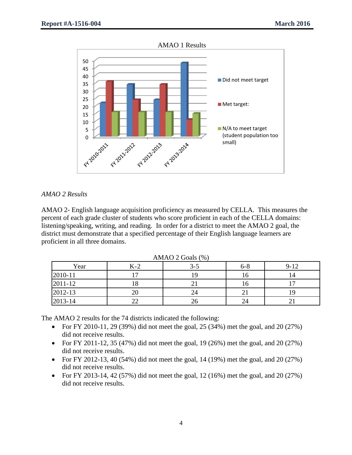AMAO 1 Results



#### *AMAO 2 Results*

AMAO 2- English language acquisition proficiency as measured by CELLA. This measures the percent of each grade cluster of students who score proficient in each of the CELLA domains: listening/speaking, writing, and reading. In order for a district to meet the AMAO 2 goal, the district must demonstrate that a specified percentage of their English language learners are proficient in all three domains.

| $1$ m/m $10z$ Obtain (70) |       |         |         |          |  |
|---------------------------|-------|---------|---------|----------|--|
| Year                      | $K-2$ | $3 - 5$ | $6 - 8$ | $9 - 12$ |  |
| 2010-11                   |       |         | 16      |          |  |
| 2011-12                   |       |         | 16      |          |  |
| 2012-13                   | ∠∪    | 24      |         |          |  |
| 2013-14                   |       | 26      | 24      |          |  |

 $AMAO$  ? Goals  $(\%)$ 

The AMAO 2 results for the 74 districts indicated the following:

- For FY 2010-11, 29 (39%) did not meet the goal, 25 (34%) met the goal, and 20 (27%) did not receive results.
- For FY 2011-12, 35 (47%) did not meet the goal, 19 (26%) met the goal, and 20 (27%) did not receive results.
- For FY 2012-13, 40 (54%) did not meet the goal, 14 (19%) met the goal, and 20 (27%) did not receive results.
- For FY 2013-14, 42 (57%) did not meet the goal, 12 (16%) met the goal, and 20 (27%) did not receive results.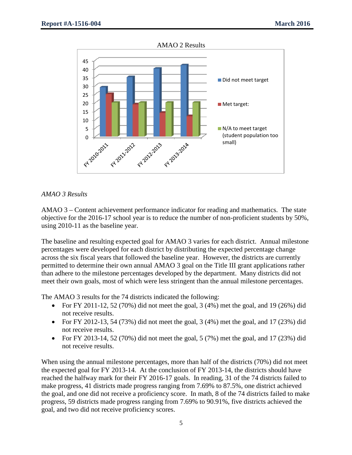AMAO 2 Results



# *AMAO 3 Results*

AMAO 3 – Content achievement performance indicator for reading and mathematics. The state objective for the 2016-17 school year is to reduce the number of non-proficient students by 50%, using 2010-11 as the baseline year.

The baseline and resulting expected goal for AMAO 3 varies for each district. Annual milestone percentages were developed for each district by distributing the expected percentage change across the six fiscal years that followed the baseline year. However, the districts are currently permitted to determine their own annual AMAO 3 goal on the Title III grant applications rather than adhere to the milestone percentages developed by the department. Many districts did not meet their own goals, most of which were less stringent than the annual milestone percentages.

The AMAO 3 results for the 74 districts indicated the following:

- For FY 2011-12, 52 (70%) did not meet the goal, 3 (4%) met the goal, and 19 (26%) did not receive results.
- For FY 2012-13, 54 (73%) did not meet the goal, 3 (4%) met the goal, and 17 (23%) did not receive results.
- For FY 2013-14, 52 (70%) did not meet the goal, 5 (7%) met the goal, and 17 (23%) did not receive results.

When using the annual milestone percentages, more than half of the districts (70%) did not meet the expected goal for FY 2013-14. At the conclusion of FY 2013-14, the districts should have reached the halfway mark for their FY 2016-17 goals. In reading, 31 of the 74 districts failed to make progress, 41 districts made progress ranging from 7.69% to 87.5%, one district achieved the goal, and one did not receive a proficiency score. In math, 8 of the 74 districts failed to make progress, 59 districts made progress ranging from 7.69% to 90.91%, five districts achieved the goal, and two did not receive proficiency scores.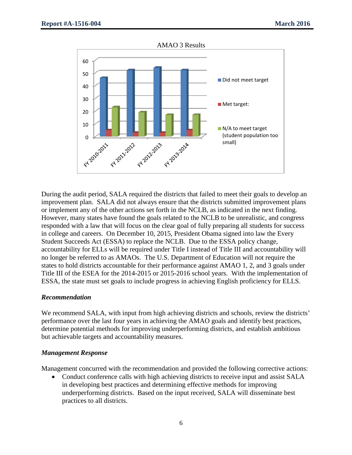AMAO 3 Results



During the audit period, SALA required the districts that failed to meet their goals to develop an improvement plan. SALA did not always ensure that the districts submitted improvement plans or implement any of the other actions set forth in the NCLB, as indicated in the next finding. However, many states have found the goals related to the NCLB to be unrealistic, and congress responded with a law that will focus on the clear goal of fully preparing all students for success in college and careers. On December 10, 2015, President Obama signed into law the Every Student Succeeds Act (ESSA) to replace the NCLB. Due to the ESSA policy change, accountability for ELLs will be required under Title I instead of Title III and accountability will no longer be referred to as AMAOs. The U.S. Department of Education will not require the states to hold districts accountable for their performance against AMAO 1, 2, and 3 goals under Title III of the ESEA for the 2014-2015 or 2015-2016 school years. With the implementation of ESSA, the state must set goals to include progress in achieving English proficiency for ELLS.

#### *Recommendation*

We recommend SALA, with input from high achieving districts and schools, review the districts' performance over the last four years in achieving the AMAO goals and identify best practices, determine potential methods for improving underperforming districts, and establish ambitious but achievable targets and accountability measures.

#### *Management Response*

Management concurred with the recommendation and provided the following corrective actions:

• Conduct conference calls with high achieving districts to receive input and assist SALA in developing best practices and determining effective methods for improving underperforming districts. Based on the input received, SALA will disseminate best practices to all districts.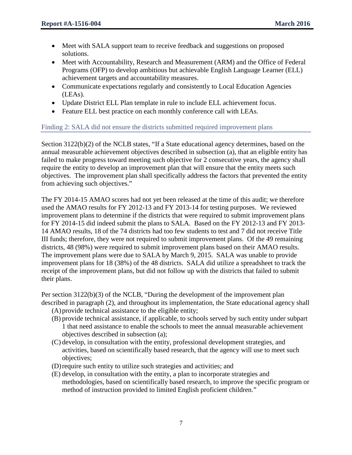- Meet with SALA support team to receive feedback and suggestions on proposed solutions.
- Meet with Accountability, Research and Measurement (ARM) and the Office of Federal Programs (OFP) to develop ambitious but achievable English Language Learner (ELL) achievement targets and accountability measures.
- Communicate expectations regularly and consistently to Local Education Agencies (LEAs).
- Update District ELL Plan template in rule to include ELL achievement focus.
- Feature ELL best practice on each monthly conference call with LEAs.

# Finding 2: SALA did not ensure the districts submitted required improvement plans

Section 3122(b)(2) of the NCLB states, "If a State educational agency determines, based on the annual measurable achievement objectives described in subsection (a), that an eligible entity has failed to make progress toward meeting such objective for 2 consecutive years, the agency shall require the entity to develop an improvement plan that will ensure that the entity meets such objectives. The improvement plan shall specifically address the factors that prevented the entity from achieving such objectives."

The FY 2014-15 AMAO scores had not yet been released at the time of this audit; we therefore used the AMAO results for FY 2012-13 and FY 2013-14 for testing purposes. We reviewed improvement plans to determine if the districts that were required to submit improvement plans for FY 2014-15 did indeed submit the plans to SALA. Based on the FY 2012-13 and FY 2013- 14 AMAO results, 18 of the 74 districts had too few students to test and 7 did not receive Title III funds; therefore, they were not required to submit improvement plans. Of the 49 remaining districts, 48 (98%) were required to submit improvement plans based on their AMAO results. The improvement plans were due to SALA by March 9, 2015. SALA was unable to provide improvement plans for 18 (38%) of the 48 districts. SALA did utilize a spreadsheet to track the receipt of the improvement plans, but did not follow up with the districts that failed to submit their plans.

Per section 3122(b)(3) of the NCLB, "During the development of the improvement plan described in paragraph (2), and throughout its implementation, the State educational agency shall

- (A)provide technical assistance to the eligible entity;
- (B) provide technical assistance, if applicable, to schools served by such entity under subpart 1 that need assistance to enable the schools to meet the annual measurable achievement objectives described in subsection (a);
- (C) develop, in consultation with the entity, professional development strategies, and activities, based on scientifically based research, that the agency will use to meet such objectives;
- (D)require such entity to utilize such strategies and activities; and
- (E) develop, in consultation with the entity, a plan to incorporate strategies and methodologies, based on scientifically based research, to improve the specific program or method of instruction provided to limited English proficient children."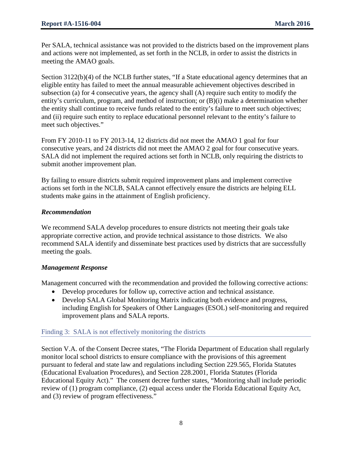Per SALA, technical assistance was not provided to the districts based on the improvement plans and actions were not implemented, as set forth in the NCLB, in order to assist the districts in meeting the AMAO goals.

Section 3122(b)(4) of the NCLB further states, "If a State educational agency determines that an eligible entity has failed to meet the annual measurable achievement objectives described in subsection (a) for 4 consecutive years, the agency shall (A) require such entity to modify the entity's curriculum, program, and method of instruction; or (B)(i) make a determination whether the entity shall continue to receive funds related to the entity's failure to meet such objectives; and (ii) require such entity to replace educational personnel relevant to the entity's failure to meet such objectives."

From FY 2010-11 to FY 2013-14, 12 districts did not meet the AMAO 1 goal for four consecutive years, and 24 districts did not meet the AMAO 2 goal for four consecutive years. SALA did not implement the required actions set forth in NCLB, only requiring the districts to submit another improvement plan.

By failing to ensure districts submit required improvement plans and implement corrective actions set forth in the NCLB, SALA cannot effectively ensure the districts are helping ELL students make gains in the attainment of English proficiency.

# *Recommendation*

We recommend SALA develop procedures to ensure districts not meeting their goals take appropriate corrective action, and provide technical assistance to those districts. We also recommend SALA identify and disseminate best practices used by districts that are successfully meeting the goals.

# *Management Response*

Management concurred with the recommendation and provided the following corrective actions:

- Develop procedures for follow up, corrective action and technical assistance.
- Develop SALA Global Monitoring Matrix indicating both evidence and progress, including English for Speakers of Other Languages (ESOL) self-monitoring and required improvement plans and SALA reports.

# Finding 3: SALA is not effectively monitoring the districts

Section V.A. of the Consent Decree states, "The Florida Department of Education shall regularly monitor local school districts to ensure compliance with the provisions of this agreement pursuant to federal and state law and regulations including Section 229.565, Florida Statutes (Educational Evaluation Procedures), and Section 228.2001, Florida Statutes (Florida Educational Equity Act)." The consent decree further states, "Monitoring shall include periodic review of (1) program compliance, (2) equal access under the Florida Educational Equity Act, and (3) review of program effectiveness."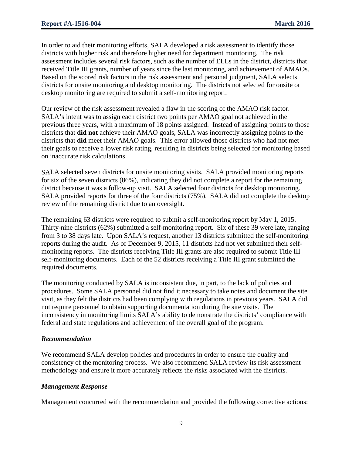In order to aid their monitoring efforts, SALA developed a risk assessment to identify those districts with higher risk and therefore higher need for department monitoring. The risk assessment includes several risk factors, such as the number of ELLs in the district, districts that received Title III grants, number of years since the last monitoring, and achievement of AMAOs. Based on the scored risk factors in the risk assessment and personal judgment, SALA selects districts for onsite monitoring and desktop monitoring. The districts not selected for onsite or desktop monitoring are required to submit a self-monitoring report.

Our review of the risk assessment revealed a flaw in the scoring of the AMAO risk factor. SALA's intent was to assign each district two points per AMAO goal not achieved in the previous three years, with a maximum of 18 points assigned. Instead of assigning points to those districts that **did not** achieve their AMAO goals, SALA was incorrectly assigning points to the districts that **did** meet their AMAO goals. This error allowed those districts who had not met their goals to receive a lower risk rating, resulting in districts being selected for monitoring based on inaccurate risk calculations.

SALA selected seven districts for onsite monitoring visits. SALA provided monitoring reports for six of the seven districts (86%), indicating they did not complete a report for the remaining district because it was a follow-up visit. SALA selected four districts for desktop monitoring. SALA provided reports for three of the four districts (75%). SALA did not complete the desktop review of the remaining district due to an oversight.

The remaining 63 districts were required to submit a self-monitoring report by May 1, 2015. Thirty-nine districts (62%) submitted a self-monitoring report. Six of these 39 were late, ranging from 3 to 38 days late. Upon SALA's request, another 13 districts submitted the self-monitoring reports during the audit. As of December 9, 2015, 11 districts had not yet submitted their selfmonitoring reports. The districts receiving Title III grants are also required to submit Title III self-monitoring documents. Each of the 52 districts receiving a Title III grant submitted the required documents.

The monitoring conducted by SALA is inconsistent due, in part, to the lack of policies and procedures. Some SALA personnel did not find it necessary to take notes and document the site visit, as they felt the districts had been complying with regulations in previous years. SALA did not require personnel to obtain supporting documentation during the site visits. The inconsistency in monitoring limits SALA's ability to demonstrate the districts' compliance with federal and state regulations and achievement of the overall goal of the program.

# *Recommendation*

We recommend SALA develop policies and procedures in order to ensure the quality and consistency of the monitoring process. We also recommend SALA review its risk assessment methodology and ensure it more accurately reflects the risks associated with the districts.

# *Management Response*

Management concurred with the recommendation and provided the following corrective actions: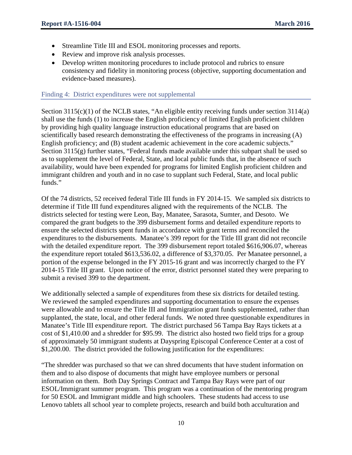- Streamline Title III and ESOL monitoring processes and reports.
- Review and improve risk analysis processes.
- Develop written monitoring procedures to include protocol and rubrics to ensure consistency and fidelity in monitoring process (objective, supporting documentation and evidence-based measures).

#### Finding 4: District expenditures were not supplemental

Section 3115(c)(1) of the NCLB states, "An eligible entity receiving funds under section 3114(a) shall use the funds (1) to increase the English proficiency of limited English proficient children by providing high quality language instruction educational programs that are based on scientifically based research demonstrating the effectiveness of the programs in increasing (A) English proficiency; and (B) student academic achievement in the core academic subjects." Section 3115(g) further states, "Federal funds made available under this subpart shall be used so as to supplement the level of Federal, State, and local public funds that, in the absence of such availability, would have been expended for programs for limited English proficient children and immigrant children and youth and in no case to supplant such Federal, State, and local public funds."

Of the 74 districts, 52 received federal Title III funds in FY 2014-15. We sampled six districts to determine if Title III fund expenditures aligned with the requirements of the NCLB. The districts selected for testing were Leon, Bay, Manatee, Sarasota, Sumter, and Desoto. We compared the grant budgets to the 399 disbursement forms and detailed expenditure reports to ensure the selected districts spent funds in accordance with grant terms and reconciled the expenditures to the disbursements. Manatee's 399 report for the Title III grant did not reconcile with the detailed expenditure report. The 399 disbursement report totaled \$616,906.07, whereas the expenditure report totaled \$613,536.02, a difference of \$3,370.05. Per Manatee personnel, a portion of the expense belonged in the FY 2015-16 grant and was incorrectly charged to the FY 2014-15 Title III grant. Upon notice of the error, district personnel stated they were preparing to submit a revised 399 to the department.

We additionally selected a sample of expenditures from these six districts for detailed testing. We reviewed the sampled expenditures and supporting documentation to ensure the expenses were allowable and to ensure the Title III and Immigration grant funds supplemented, rather than supplanted, the state, local, and other federal funds. We noted three questionable expenditures in Manatee's Title III expenditure report. The district purchased 56 Tampa Bay Rays tickets at a cost of \$1,410.00 and a shredder for \$95.99. The district also hosted two field trips for a group of approximately 50 immigrant students at Dayspring Episcopal Conference Center at a cost of \$1,200.00. The district provided the following justification for the expenditures:

"The shredder was purchased so that we can shred documents that have student information on them and to also dispose of documents that might have employee numbers or personal information on them. Both Day Springs Contract and Tampa Bay Rays were part of our ESOL/Immigrant summer program. This program was a continuation of the mentoring program for 50 ESOL and Immigrant middle and high schoolers. These students had access to use Lenovo tablets all school year to complete projects, research and build both acculturation and